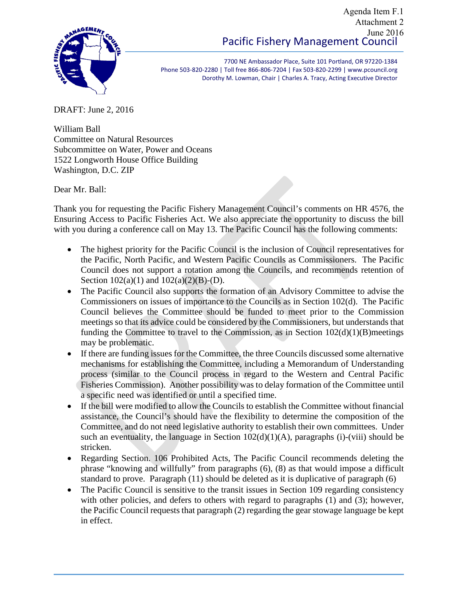#### Pacific Fishery Management Council Agenda Item F.1 Attachment 2 June 2016



7700 NE Ambassador Place, Suite 101 Portland, OR 97220-1384 Phone 503-820-2280 | Toll free 866-806-7204 | Fax 503-820-2299 | www.pcouncil.org Dorothy M. Lowman, Chair | Charles A. Tracy, Acting Executive Director

DRAFT: June 2, 2016

William Ball Committee on Natural Resources Subcommittee on Water, Power and Oceans 1522 Longworth House Office Building Washington, D.C. ZIP

Dear Mr. Ball:

Thank you for requesting the Pacific Fishery Management Council's comments on HR 4576, the Ensuring Access to Pacific Fisheries Act. We also appreciate the opportunity to discuss the bill with you during a conference call on May 13. The Pacific Council has the following comments:

- The highest priority for the Pacific Council is the inclusion of Council representatives for the Pacific, North Pacific, and Western Pacific Councils as Commissioners. The Pacific Council does not support a rotation among the Councils, and recommends retention of Section  $102(a)(1)$  and  $102(a)(2)(B)-(D)$ .
- The Pacific Council also supports the formation of an Advisory Committee to advise the Commissioners on issues of importance to the Councils as in Section 102(d). The Pacific Council believes the Committee should be funded to meet prior to the Commission meetings so that its advice could be considered by the Commissioners, but understands that funding the Committee to travel to the Commission, as in Section  $102(d)(1)(B)$  meetings may be problematic.
- If there are funding issues for the Committee, the three Councils discussed some alternative mechanisms for establishing the Committee, including a Memorandum of Understanding process (similar to the Council process in regard to the Western and Central Pacific Fisheries Commission). Another possibility was to delay formation of the Committee until a specific need was identified or until a specified time.
- If the bill were modified to allow the Councils to establish the Committee without financial assistance, the Council's should have the flexibility to determine the composition of the Committee, and do not need legislative authority to establish their own committees. Under such an eventuality, the language in Section  $102(d)(1)(A)$ , paragraphs (i)-(viii) should be stricken.
- Regarding Section. 106 Prohibited Acts, The Pacific Council recommends deleting the phrase "knowing and willfully" from paragraphs (6), (8) as that would impose a difficult standard to prove. Paragraph (11) should be deleted as it is duplicative of paragraph (6)
- The Pacific Council is sensitive to the transit issues in Section 109 regarding consistency with other policies, and defers to others with regard to paragraphs (1) and (3); however, the Pacific Council requests that paragraph (2) regarding the gear stowage language be kept in effect.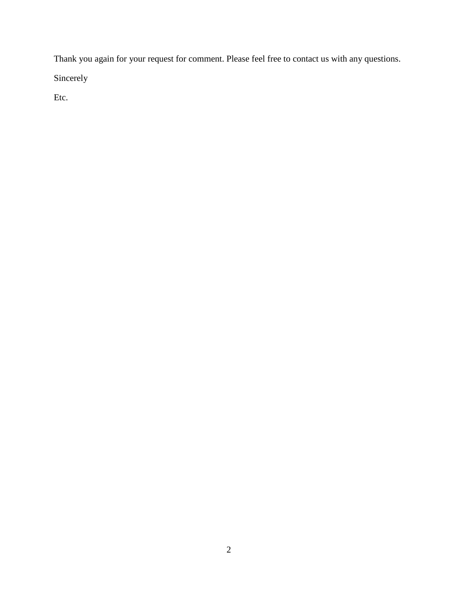Thank you again for your request for comment. Please feel free to contact us with any questions.

Sincerely

Etc.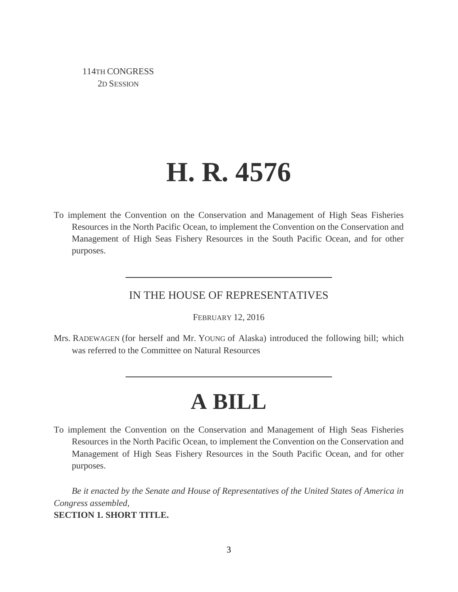114TH CONGRESS 2D SESSION

# **H. R. 4576**

To implement the Convention on the Conservation and Management of High Seas Fisheries Resources in the North Pacific Ocean, to implement the Convention on the Conservation and Management of High Seas Fishery Resources in the South Pacific Ocean, and for other purposes.

#### IN THE HOUSE OF REPRESENTATIVES

FEBRUARY 12, 2016

Mrs. RADEWAGEN (for herself and Mr. YOUNG of Alaska) introduced the following bill; which was referred to the Committee on Natural Resources

## **A BILL**

To implement the Convention on the Conservation and Management of High Seas Fisheries Resources in the North Pacific Ocean, to implement the Convention on the Conservation and Management of High Seas Fishery Resources in the South Pacific Ocean, and for other purposes.

*Be it enacted by the Senate and House of Representatives of the United States of America in Congress assembled,* **SECTION 1. SHORT TITLE.**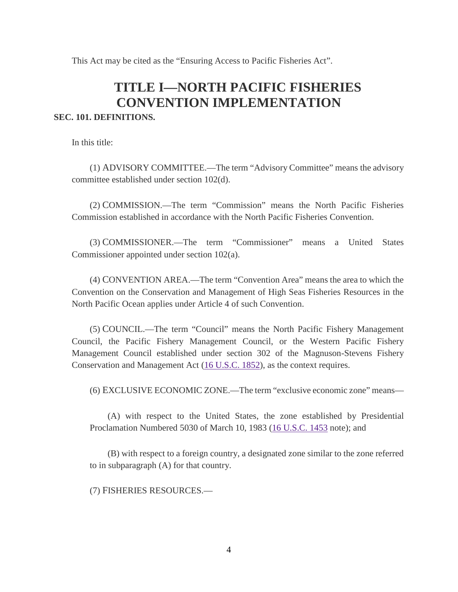This Act may be cited as the "Ensuring Access to Pacific Fisheries Act".

## **TITLE I—NORTH PACIFIC FISHERIES CONVENTION IMPLEMENTATION**

#### **SEC. 101. DEFINITIONS.**

In this title:

(1) ADVISORY COMMITTEE.—The term "Advisory Committee" means the advisory committee established under section 102(d).

(2) COMMISSION.—The term "Commission" means the North Pacific Fisheries Commission established in accordance with the North Pacific Fisheries Convention.

(3) COMMISSIONER.—The term "Commissioner" means a United States Commissioner appointed under section 102(a).

(4) CONVENTION AREA.—The term "Convention Area" means the area to which the Convention on the Conservation and Management of High Seas Fisheries Resources in the North Pacific Ocean applies under Article 4 of such Convention.

(5) COUNCIL.—The term "Council" means the North Pacific Fishery Management Council, the Pacific Fishery Management Council, or the Western Pacific Fishery Management Council established under section 302 of the Magnuson-Stevens Fishery Conservation and Management Act [\(16 U.S.C. 1852\)](http://uscode.house.gov/quicksearch/get.plx?title=16§ion=1852), as the context requires.

(6) EXCLUSIVE ECONOMIC ZONE.—The term "exclusive economic zone" means—

(A) with respect to the United States, the zone established by Presidential Proclamation Numbered 5030 of March 10, 1983 [\(16 U.S.C.](http://uscode.house.gov/quicksearch/get.plx?title=16§ion=1453) 1453 note); and

(B) with respect to a foreign country, a designated zone similar to the zone referred to in subparagraph (A) for that country.

(7) FISHERIES RESOURCES.—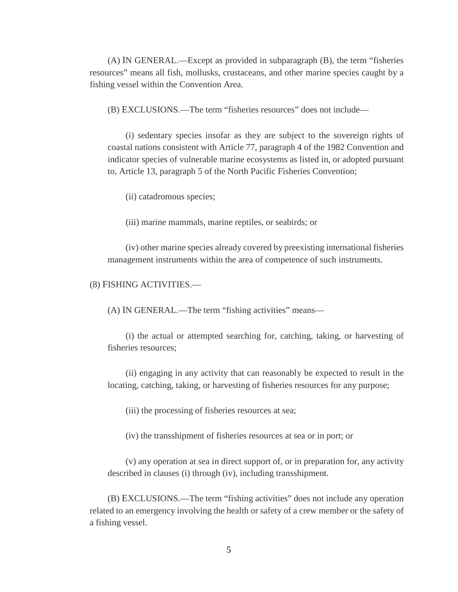(A) IN GENERAL.—Except as provided in subparagraph (B), the term "fisheries resources" means all fish, mollusks, crustaceans, and other marine species caught by a fishing vessel within the Convention Area.

(B) EXCLUSIONS.—The term "fisheries resources" does not include—

(i) sedentary species insofar as they are subject to the sovereign rights of coastal nations consistent with Article 77, paragraph 4 of the 1982 Convention and indicator species of vulnerable marine ecosystems as listed in, or adopted pursuant to, Article 13, paragraph 5 of the North Pacific Fisheries Convention;

(ii) catadromous species;

(iii) marine mammals, marine reptiles, or seabirds; or

(iv) other marine species already covered by preexisting international fisheries management instruments within the area of competence of such instruments.

#### (8) FISHING ACTIVITIES.—

(A) IN GENERAL.—The term "fishing activities" means—

(i) the actual or attempted searching for, catching, taking, or harvesting of fisheries resources;

(ii) engaging in any activity that can reasonably be expected to result in the locating, catching, taking, or harvesting of fisheries resources for any purpose;

(iii) the processing of fisheries resources at sea;

(iv) the transshipment of fisheries resources at sea or in port; or

(v) any operation at sea in direct support of, or in preparation for, any activity described in clauses (i) through (iv), including transshipment.

(B) EXCLUSIONS.—The term "fishing activities" does not include any operation related to an emergency involving the health or safety of a crew member or the safety of a fishing vessel.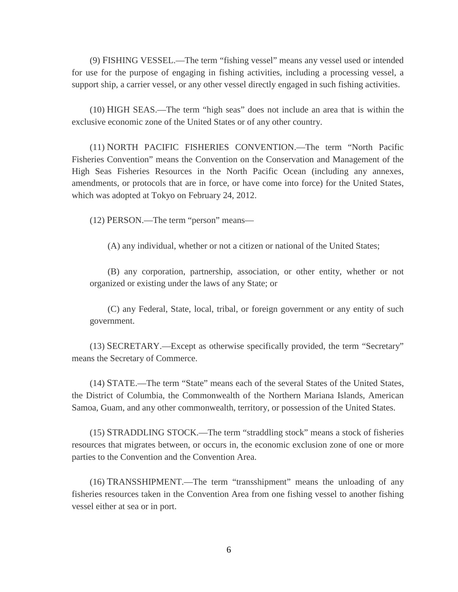(9) FISHING VESSEL.—The term "fishing vessel" means any vessel used or intended for use for the purpose of engaging in fishing activities, including a processing vessel, a support ship, a carrier vessel, or any other vessel directly engaged in such fishing activities.

(10) HIGH SEAS.—The term "high seas" does not include an area that is within the exclusive economic zone of the United States or of any other country.

(11) NORTH PACIFIC FISHERIES CONVENTION.—The term "North Pacific Fisheries Convention" means the Convention on the Conservation and Management of the High Seas Fisheries Resources in the North Pacific Ocean (including any annexes, amendments, or protocols that are in force, or have come into force) for the United States, which was adopted at Tokyo on February 24, 2012.

(12) PERSON.—The term "person" means—

(A) any individual, whether or not a citizen or national of the United States;

(B) any corporation, partnership, association, or other entity, whether or not organized or existing under the laws of any State; or

(C) any Federal, State, local, tribal, or foreign government or any entity of such government.

(13) SECRETARY.—Except as otherwise specifically provided, the term "Secretary" means the Secretary of Commerce.

(14) STATE.—The term "State" means each of the several States of the United States, the District of Columbia, the Commonwealth of the Northern Mariana Islands, American Samoa, Guam, and any other commonwealth, territory, or possession of the United States.

(15) STRADDLING STOCK.—The term "straddling stock" means a stock of fisheries resources that migrates between, or occurs in, the economic exclusion zone of one or more parties to the Convention and the Convention Area.

(16) TRANSSHIPMENT.—The term "transshipment" means the unloading of any fisheries resources taken in the Convention Area from one fishing vessel to another fishing vessel either at sea or in port.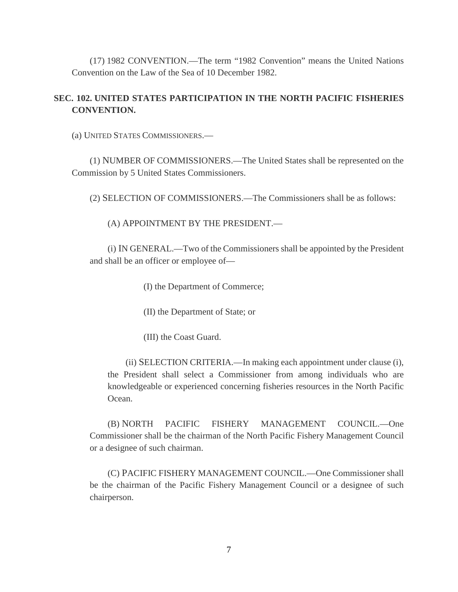(17) 1982 CONVENTION.—The term "1982 Convention" means the United Nations Convention on the Law of the Sea of 10 December 1982.

#### **SEC. 102. UNITED STATES PARTICIPATION IN THE NORTH PACIFIC FISHERIES CONVENTION.**

(a) UNITED STATES COMMISSIONERS.—

(1) NUMBER OF COMMISSIONERS.—The United States shall be represented on the Commission by 5 United States Commissioners.

(2) SELECTION OF COMMISSIONERS.—The Commissioners shall be as follows:

(A) APPOINTMENT BY THE PRESIDENT.—

(i) IN GENERAL.—Two of the Commissioners shall be appointed by the President and shall be an officer or employee of—

(I) the Department of Commerce;

(II) the Department of State; or

(III) the Coast Guard.

(ii) SELECTION CRITERIA.—In making each appointment under clause (i), the President shall select a Commissioner from among individuals who are knowledgeable or experienced concerning fisheries resources in the North Pacific Ocean.

(B) NORTH PACIFIC FISHERY MANAGEMENT COUNCIL.—One Commissioner shall be the chairman of the North Pacific Fishery Management Council or a designee of such chairman.

(C) PACIFIC FISHERY MANAGEMENT COUNCIL.—One Commissioner shall be the chairman of the Pacific Fishery Management Council or a designee of such chairperson.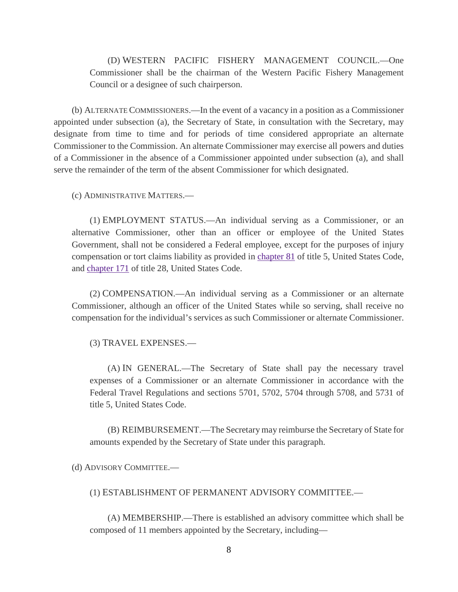(D) WESTERN PACIFIC FISHERY MANAGEMENT COUNCIL.—One Commissioner shall be the chairman of the Western Pacific Fishery Management Council or a designee of such chairperson.

(b) ALTERNATE COMMISSIONERS.—In the event of a vacancy in a position as a Commissioner appointed under subsection (a), the Secretary of State, in consultation with the Secretary, may designate from time to time and for periods of time considered appropriate an alternate Commissioner to the Commission. An alternate Commissioner may exercise all powers and duties of a Commissioner in the absence of a Commissioner appointed under subsection (a), and shall serve the remainder of the term of the absent Commissioner for which designated.

(c) ADMINISTRATIVE MATTERS.—

(1) EMPLOYMENT STATUS.—An individual serving as a Commissioner, or an alternative Commissioner, other than an officer or employee of the United States Government, shall not be considered a Federal employee, except for the purposes of injury compensation or tort claims liability as provided in [chapter 81](http://uscode.house.gov/view.xhtml?req=granuleid:USC-prelim-title5-chapter81-front&num=0&edition=prelim) of title 5, United States Code, and [chapter 171](http://uscode.house.gov/view.xhtml?req=granuleid:USC-prelim-title28-chapter171-front&num=0&edition=prelim) of title 28, United States Code.

(2) COMPENSATION.—An individual serving as a Commissioner or an alternate Commissioner, although an officer of the United States while so serving, shall receive no compensation for the individual's services as such Commissioner or alternate Commissioner.

(3) TRAVEL EXPENSES.—

(A) IN GENERAL.—The Secretary of State shall pay the necessary travel expenses of a Commissioner or an alternate Commissioner in accordance with the Federal Travel Regulations and sections 5701, 5702, 5704 through 5708, and 5731 of title 5, United States Code.

(B) REIMBURSEMENT.—The Secretary may reimburse the Secretary of State for amounts expended by the Secretary of State under this paragraph.

(d) ADVISORY COMMITTEE.—

(1) ESTABLISHMENT OF PERMANENT ADVISORY COMMITTEE.—

(A) MEMBERSHIP.—There is established an advisory committee which shall be composed of 11 members appointed by the Secretary, including—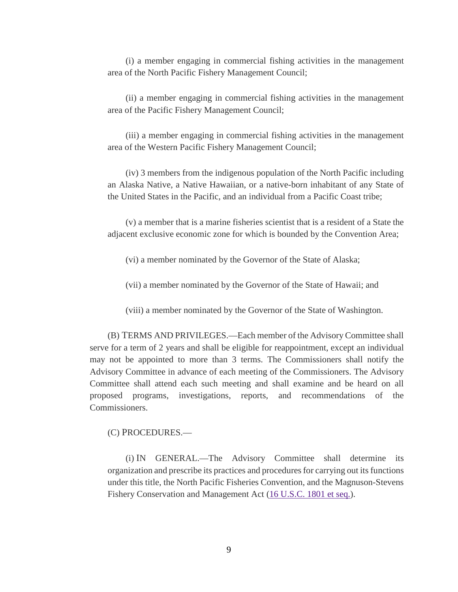(i) a member engaging in commercial fishing activities in the management area of the North Pacific Fishery Management Council;

(ii) a member engaging in commercial fishing activities in the management area of the Pacific Fishery Management Council;

(iii) a member engaging in commercial fishing activities in the management area of the Western Pacific Fishery Management Council;

(iv) 3 members from the indigenous population of the North Pacific including an Alaska Native, a Native Hawaiian, or a native-born inhabitant of any State of the United States in the Pacific, and an individual from a Pacific Coast tribe;

(v) a member that is a marine fisheries scientist that is a resident of a State the adjacent exclusive economic zone for which is bounded by the Convention Area;

(vi) a member nominated by the Governor of the State of Alaska;

(vii) a member nominated by the Governor of the State of Hawaii; and

(viii) a member nominated by the Governor of the State of Washington.

(B) TERMS AND PRIVILEGES.—Each member of the Advisory Committee shall serve for a term of 2 years and shall be eligible for reappointment, except an individual may not be appointed to more than 3 terms. The Commissioners shall notify the Advisory Committee in advance of each meeting of the Commissioners. The Advisory Committee shall attend each such meeting and shall examine and be heard on all proposed programs, investigations, reports, and recommendations of the Commissioners.

(C) PROCEDURES.—

(i) IN GENERAL.—The Advisory Committee shall determine its organization and prescribe its practices and procedures for carrying out its functions under this title, the North Pacific Fisheries Convention, and the Magnuson-Stevens Fishery Conservation and Management Act [\(16 U.S.C. 1801 et seq.\)](http://uscode.house.gov/quicksearch/get.plx?title=16§ion=1801).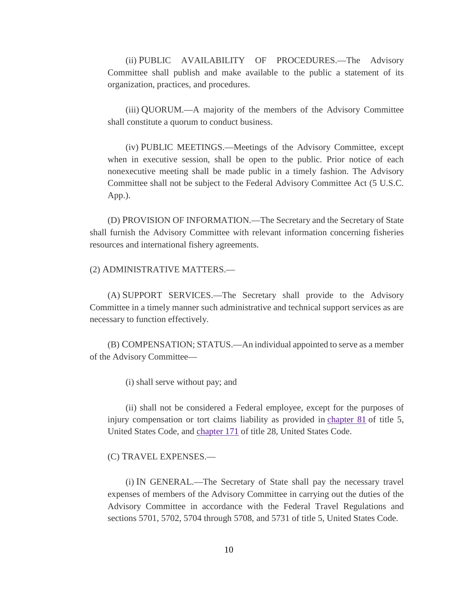(ii) PUBLIC AVAILABILITY OF PROCEDURES.—The Advisory Committee shall publish and make available to the public a statement of its organization, practices, and procedures.

(iii) QUORUM.—A majority of the members of the Advisory Committee shall constitute a quorum to conduct business.

(iv) PUBLIC MEETINGS.—Meetings of the Advisory Committee, except when in executive session, shall be open to the public. Prior notice of each nonexecutive meeting shall be made public in a timely fashion. The Advisory Committee shall not be subject to the Federal Advisory Committee Act (5 U.S.C. App.).

(D) PROVISION OF INFORMATION.—The Secretary and the Secretary of State shall furnish the Advisory Committee with relevant information concerning fisheries resources and international fishery agreements.

(2) ADMINISTRATIVE MATTERS.—

(A) SUPPORT SERVICES.—The Secretary shall provide to the Advisory Committee in a timely manner such administrative and technical support services as are necessary to function effectively.

(B) COMPENSATION; STATUS.—An individual appointed to serve as a member of the Advisory Committee—

(i) shall serve without pay; and

(ii) shall not be considered a Federal employee, except for the purposes of injury compensation or tort claims liability as provided in [chapter 81](http://uscode.house.gov/view.xhtml?req=granuleid:USC-prelim-title5-chapter81-front&num=0&edition=prelim) of title 5, United States Code, and [chapter 171](http://uscode.house.gov/view.xhtml?req=granuleid:USC-prelim-title28-chapter171-front&num=0&edition=prelim) of title 28, United States Code.

(C) TRAVEL EXPENSES.—

(i) IN GENERAL.—The Secretary of State shall pay the necessary travel expenses of members of the Advisory Committee in carrying out the duties of the Advisory Committee in accordance with the Federal Travel Regulations and sections 5701, 5702, 5704 through 5708, and 5731 of title 5, United States Code.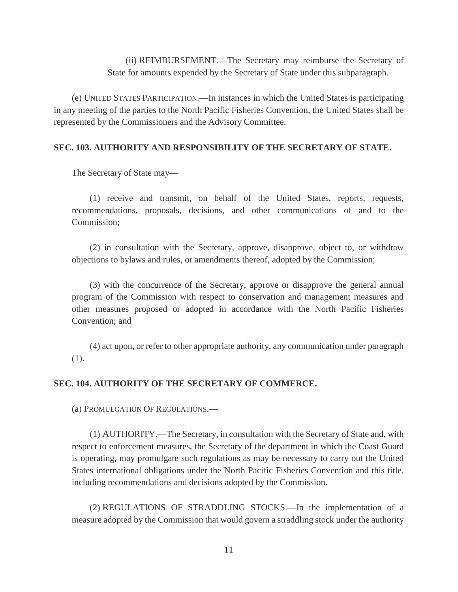(ii) REIMBURSEMENT.—The Secretary may reimburse the Secretary of State for amounts expended by the Secretary of State under this subparagraph.

(e) UNITED STATES PARTICIPATION.—In instances in which the United States is participating in any meeting of the parties to the North Pacific Fisheries Convention, the United States shall be represented by the Commissioners and the Advisory Committee.

#### **SEC. 103. AUTHORITY AND RESPONSIBILITY OF THE SECRETARY OF STATE.**

The Secretary of State may—

(1) receive and transmit, on behalf of the United States, reports, requests, recommendations, proposals, decisions, and other communications of and to the Commission;

(2) in consultation with the Secretary, approve, disapprove, object to, or withdraw objections to bylaws and rules, or amendments thereof, adopted by the Commission;

(3) with the concurrence of the Secretary, approve or disapprove the general annual program of the Commission with respect to conservation and management measures and other measures proposed or adopted in accordance with the North Pacific Fisheries Convention; and

(4) act upon, or refer to other appropriate authority, any communication under paragraph (1).

#### **SEC. 104. AUTHORITY OF THE SECRETARY OF COMMERCE.**

(a) PROMULGATION OF REGULATIONS.—

(1) AUTHORITY.—The Secretary, in consultation with the Secretary of State and, with respect to enforcement measures, the Secretary of the department in which the Coast Guard is operating, may promulgate such regulations as may be necessary to carry out the United States international obligations under the North Pacific Fisheries Convention and this title, including recommendations and decisions adopted by the Commission.

(2) REGULATIONS OF STRADDLING STOCKS.—In the implementation of a measure adopted by the Commission that would govern a straddling stock under the authority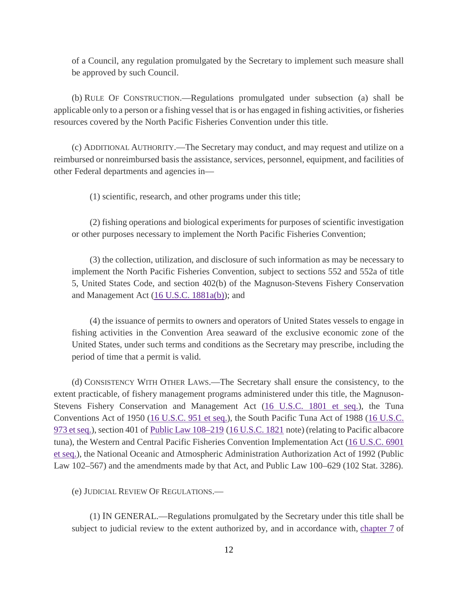of a Council, any regulation promulgated by the Secretary to implement such measure shall be approved by such Council.

(b) RULE OF CONSTRUCTION.—Regulations promulgated under subsection (a) shall be applicable only to a person or a fishing vessel that is or has engaged in fishing activities, or fisheries resources covered by the North Pacific Fisheries Convention under this title.

(c) ADDITIONAL AUTHORITY.—The Secretary may conduct, and may request and utilize on a reimbursed or nonreimbursed basis the assistance, services, personnel, equipment, and facilities of other Federal departments and agencies in—

(1) scientific, research, and other programs under this title;

(2) fishing operations and biological experiments for purposes of scientific investigation or other purposes necessary to implement the North Pacific Fisheries Convention;

(3) the collection, utilization, and disclosure of such information as may be necessary to implement the North Pacific Fisheries Convention, subject to sections 552 and 552a of title 5, United States Code, and section 402(b) of the Magnuson-Stevens Fishery Conservation and Management Act  $(16$  U.S.C.  $1881a(b)$ ; and

(4) the issuance of permits to owners and operators of United States vessels to engage in fishing activities in the Convention Area seaward of the exclusive economic zone of the United States, under such terms and conditions as the Secretary may prescribe, including the period of time that a permit is valid.

(d) CONSISTENCY WITH OTHER LAWS.—The Secretary shall ensure the consistency, to the extent practicable, of fishery management programs administered under this title, the Magnuson-Stevens Fishery Conservation and Management Act [\(16 U.S.C. 1801 et seq.\)](http://uscode.house.gov/quicksearch/get.plx?title=16§ion=1801), the Tuna Conventions Act of 1950 [\(16 U.S.C. 951 et seq.\)](http://uscode.house.gov/quicksearch/get.plx?title=16§ion=951), the South Pacific Tuna Act of 1988 [\(16 U.S.C.](http://uscode.house.gov/quicksearch/get.plx?title=16§ion=973)  [973 et seq.\)](http://uscode.house.gov/quicksearch/get.plx?title=16§ion=973), section 401 of [Public Law 108–219](https://www.gpo.gov/fdsys/pkg/PLAW-108publ219/pdf/PLAW-108publ219.pdf) [\(16 U.S.C. 1821](http://uscode.house.gov/quicksearch/get.plx?title=16§ion=1821) note) (relating to Pacific albacore tuna), the Western and Central Pacific Fisheries Convention Implementation Act [\(16 U.S.C. 6901](http://uscode.house.gov/quicksearch/get.plx?title=16§ion=6901)  [et seq.\)](http://uscode.house.gov/quicksearch/get.plx?title=16§ion=6901), the National Oceanic and Atmospheric Administration Authorization Act of 1992 (Public Law 102–567) and the amendments made by that Act, and Public Law 100–629 (102 Stat. 3286).

(e) JUDICIAL REVIEW OF REGULATIONS.—

(1) IN GENERAL.—Regulations promulgated by the Secretary under this title shall be subject to judicial review to the extent authorized by, and in accordance with, [chapter 7](http://uscode.house.gov/view.xhtml?req=granuleid:USC-prelim-title5-chapter7-front&num=0&edition=prelim) of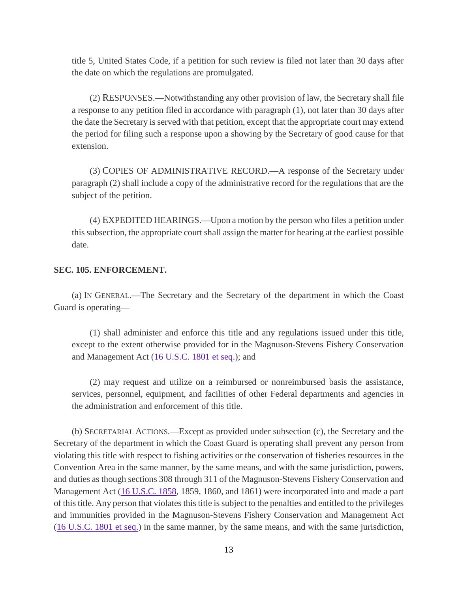title 5, United States Code, if a petition for such review is filed not later than 30 days after the date on which the regulations are promulgated.

(2) RESPONSES.—Notwithstanding any other provision of law, the Secretary shall file a response to any petition filed in accordance with paragraph (1), not later than 30 days after the date the Secretary is served with that petition, except that the appropriate court may extend the period for filing such a response upon a showing by the Secretary of good cause for that extension.

(3) COPIES OF ADMINISTRATIVE RECORD.—A response of the Secretary under paragraph (2) shall include a copy of the administrative record for the regulations that are the subject of the petition.

(4) EXPEDITED HEARINGS.—Upon a motion by the person who files a petition under this subsection, the appropriate court shall assign the matter for hearing at the earliest possible date.

#### **SEC. 105. ENFORCEMENT.**

(a) IN GENERAL.—The Secretary and the Secretary of the department in which the Coast Guard is operating—

(1) shall administer and enforce this title and any regulations issued under this title, except to the extent otherwise provided for in the Magnuson-Stevens Fishery Conservation and Management Act [\(16 U.S.C. 1801 et seq.\)](http://uscode.house.gov/quicksearch/get.plx?title=16§ion=1801); and

(2) may request and utilize on a reimbursed or nonreimbursed basis the assistance, services, personnel, equipment, and facilities of other Federal departments and agencies in the administration and enforcement of this title.

(b) SECRETARIAL ACTIONS.—Except as provided under subsection (c), the Secretary and the Secretary of the department in which the Coast Guard is operating shall prevent any person from violating this title with respect to fishing activities or the conservation of fisheries resources in the Convention Area in the same manner, by the same means, and with the same jurisdiction, powers, and duties as though sections 308 through 311 of the Magnuson-Stevens Fishery Conservation and Management Act [\(16 U.S.C. 1858,](http://uscode.house.gov/quicksearch/get.plx?title=16§ion=1858) 1859, 1860, and 1861) were incorporated into and made a part of this title. Any person that violates this title is subject to the penalties and entitled to the privileges and immunities provided in the Magnuson-Stevens Fishery Conservation and Management Act [\(16 U.S.C. 1801 et seq.\)](http://uscode.house.gov/quicksearch/get.plx?title=16§ion=1801) in the same manner, by the same means, and with the same jurisdiction,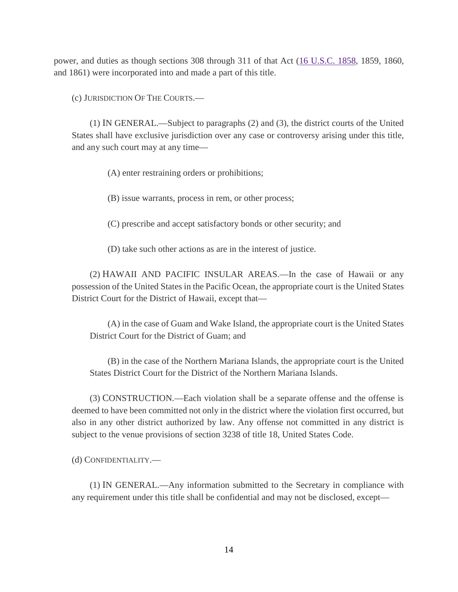power, and duties as though sections 308 through 311 of that Act [\(16 U.S.C. 1858,](http://uscode.house.gov/quicksearch/get.plx?title=16§ion=1858) 1859, 1860, and 1861) were incorporated into and made a part of this title.

(c) JURISDICTION OF THE COURTS.—

(1) IN GENERAL.—Subject to paragraphs (2) and (3), the district courts of the United States shall have exclusive jurisdiction over any case or controversy arising under this title, and any such court may at any time—

(A) enter restraining orders or prohibitions;

(B) issue warrants, process in rem, or other process;

(C) prescribe and accept satisfactory bonds or other security; and

(D) take such other actions as are in the interest of justice.

(2) HAWAII AND PACIFIC INSULAR AREAS.—In the case of Hawaii or any possession of the United States in the Pacific Ocean, the appropriate court is the United States District Court for the District of Hawaii, except that—

(A) in the case of Guam and Wake Island, the appropriate court is the United States District Court for the District of Guam; and

(B) in the case of the Northern Mariana Islands, the appropriate court is the United States District Court for the District of the Northern Mariana Islands.

(3) CONSTRUCTION.—Each violation shall be a separate offense and the offense is deemed to have been committed not only in the district where the violation first occurred, but also in any other district authorized by law. Any offense not committed in any district is subject to the venue provisions of section 3238 of title 18, United States Code.

(d) CONFIDENTIALITY.—

(1) IN GENERAL.—Any information submitted to the Secretary in compliance with any requirement under this title shall be confidential and may not be disclosed, except—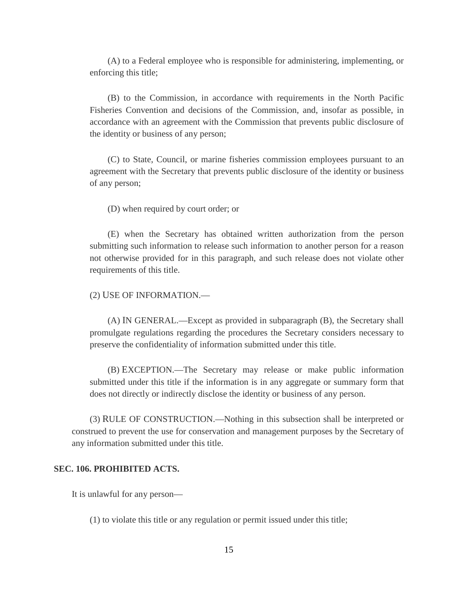(A) to a Federal employee who is responsible for administering, implementing, or enforcing this title;

(B) to the Commission, in accordance with requirements in the North Pacific Fisheries Convention and decisions of the Commission, and, insofar as possible, in accordance with an agreement with the Commission that prevents public disclosure of the identity or business of any person;

(C) to State, Council, or marine fisheries commission employees pursuant to an agreement with the Secretary that prevents public disclosure of the identity or business of any person;

(D) when required by court order; or

(E) when the Secretary has obtained written authorization from the person submitting such information to release such information to another person for a reason not otherwise provided for in this paragraph, and such release does not violate other requirements of this title.

(2) USE OF INFORMATION.—

(A) IN GENERAL.—Except as provided in subparagraph (B), the Secretary shall promulgate regulations regarding the procedures the Secretary considers necessary to preserve the confidentiality of information submitted under this title.

(B) EXCEPTION.—The Secretary may release or make public information submitted under this title if the information is in any aggregate or summary form that does not directly or indirectly disclose the identity or business of any person.

(3) RULE OF CONSTRUCTION.—Nothing in this subsection shall be interpreted or construed to prevent the use for conservation and management purposes by the Secretary of any information submitted under this title.

#### **SEC. 106. PROHIBITED ACTS.**

It is unlawful for any person—

(1) to violate this title or any regulation or permit issued under this title;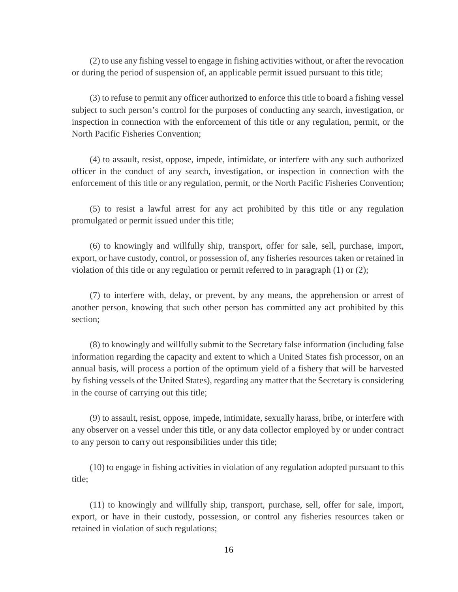(2) to use any fishing vessel to engage in fishing activities without, or after the revocation or during the period of suspension of, an applicable permit issued pursuant to this title;

(3) to refuse to permit any officer authorized to enforce this title to board a fishing vessel subject to such person's control for the purposes of conducting any search, investigation, or inspection in connection with the enforcement of this title or any regulation, permit, or the North Pacific Fisheries Convention;

(4) to assault, resist, oppose, impede, intimidate, or interfere with any such authorized officer in the conduct of any search, investigation, or inspection in connection with the enforcement of this title or any regulation, permit, or the North Pacific Fisheries Convention;

(5) to resist a lawful arrest for any act prohibited by this title or any regulation promulgated or permit issued under this title;

(6) to knowingly and willfully ship, transport, offer for sale, sell, purchase, import, export, or have custody, control, or possession of, any fisheries resources taken or retained in violation of this title or any regulation or permit referred to in paragraph (1) or (2);

(7) to interfere with, delay, or prevent, by any means, the apprehension or arrest of another person, knowing that such other person has committed any act prohibited by this section;

(8) to knowingly and willfully submit to the Secretary false information (including false information regarding the capacity and extent to which a United States fish processor, on an annual basis, will process a portion of the optimum yield of a fishery that will be harvested by fishing vessels of the United States), regarding any matter that the Secretary is considering in the course of carrying out this title;

(9) to assault, resist, oppose, impede, intimidate, sexually harass, bribe, or interfere with any observer on a vessel under this title, or any data collector employed by or under contract to any person to carry out responsibilities under this title;

(10) to engage in fishing activities in violation of any regulation adopted pursuant to this title;

(11) to knowingly and willfully ship, transport, purchase, sell, offer for sale, import, export, or have in their custody, possession, or control any fisheries resources taken or retained in violation of such regulations;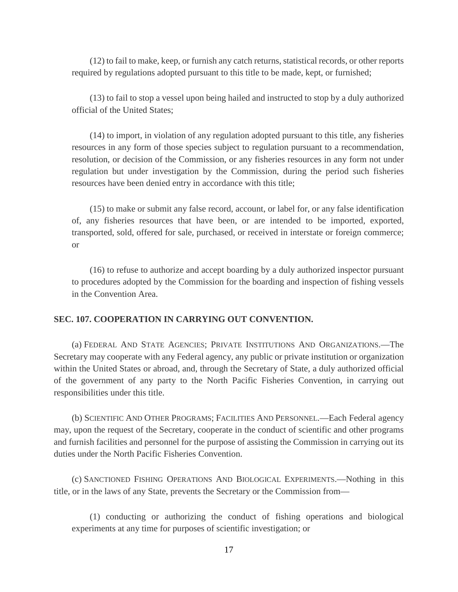(12) to fail to make, keep, or furnish any catch returns, statistical records, or other reports required by regulations adopted pursuant to this title to be made, kept, or furnished;

(13) to fail to stop a vessel upon being hailed and instructed to stop by a duly authorized official of the United States;

(14) to import, in violation of any regulation adopted pursuant to this title, any fisheries resources in any form of those species subject to regulation pursuant to a recommendation, resolution, or decision of the Commission, or any fisheries resources in any form not under regulation but under investigation by the Commission, during the period such fisheries resources have been denied entry in accordance with this title;

(15) to make or submit any false record, account, or label for, or any false identification of, any fisheries resources that have been, or are intended to be imported, exported, transported, sold, offered for sale, purchased, or received in interstate or foreign commerce; or

(16) to refuse to authorize and accept boarding by a duly authorized inspector pursuant to procedures adopted by the Commission for the boarding and inspection of fishing vessels in the Convention Area.

#### **SEC. 107. COOPERATION IN CARRYING OUT CONVENTION.**

(a) FEDERAL AND STATE AGENCIES; PRIVATE INSTITUTIONS AND ORGANIZATIONS.—The Secretary may cooperate with any Federal agency, any public or private institution or organization within the United States or abroad, and, through the Secretary of State, a duly authorized official of the government of any party to the North Pacific Fisheries Convention, in carrying out responsibilities under this title.

(b) SCIENTIFIC AND OTHER PROGRAMS; FACILITIES AND PERSONNEL.—Each Federal agency may, upon the request of the Secretary, cooperate in the conduct of scientific and other programs and furnish facilities and personnel for the purpose of assisting the Commission in carrying out its duties under the North Pacific Fisheries Convention.

(c) SANCTIONED FISHING OPERATIONS AND BIOLOGICAL EXPERIMENTS.—Nothing in this title, or in the laws of any State, prevents the Secretary or the Commission from—

(1) conducting or authorizing the conduct of fishing operations and biological experiments at any time for purposes of scientific investigation; or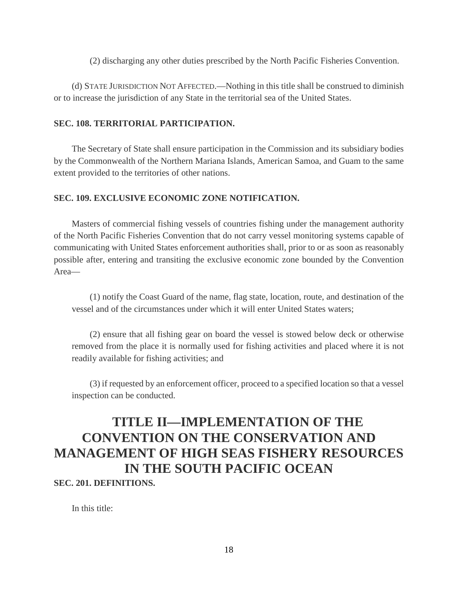(2) discharging any other duties prescribed by the North Pacific Fisheries Convention.

(d) STATE JURISDICTION NOT AFFECTED.—Nothing in this title shall be construed to diminish or to increase the jurisdiction of any State in the territorial sea of the United States.

#### **SEC. 108. TERRITORIAL PARTICIPATION.**

The Secretary of State shall ensure participation in the Commission and its subsidiary bodies by the Commonwealth of the Northern Mariana Islands, American Samoa, and Guam to the same extent provided to the territories of other nations.

#### **SEC. 109. EXCLUSIVE ECONOMIC ZONE NOTIFICATION.**

Masters of commercial fishing vessels of countries fishing under the management authority of the North Pacific Fisheries Convention that do not carry vessel monitoring systems capable of communicating with United States enforcement authorities shall, prior to or as soon as reasonably possible after, entering and transiting the exclusive economic zone bounded by the Convention Area—

(1) notify the Coast Guard of the name, flag state, location, route, and destination of the vessel and of the circumstances under which it will enter United States waters;

(2) ensure that all fishing gear on board the vessel is stowed below deck or otherwise removed from the place it is normally used for fishing activities and placed where it is not readily available for fishing activities; and

(3) if requested by an enforcement officer, proceed to a specified location so that a vessel inspection can be conducted.

### **TITLE II—IMPLEMENTATION OF THE CONVENTION ON THE CONSERVATION AND MANAGEMENT OF HIGH SEAS FISHERY RESOURCES IN THE SOUTH PACIFIC OCEAN SEC. 201. DEFINITIONS.**

In this title: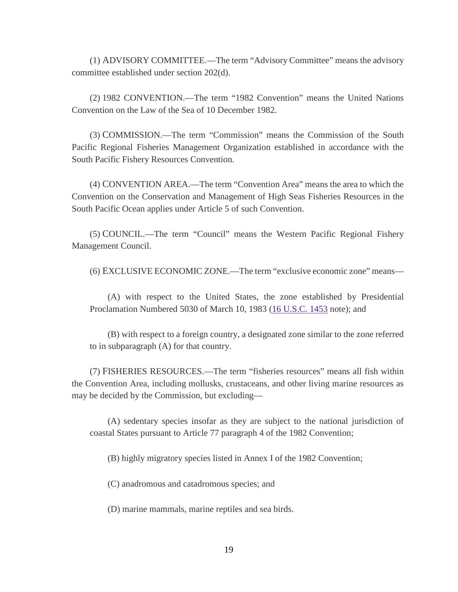(1) ADVISORY COMMITTEE.—The term "Advisory Committee" means the advisory committee established under section 202(d).

(2) 1982 CONVENTION.—The term "1982 Convention" means the United Nations Convention on the Law of the Sea of 10 December 1982.

(3) COMMISSION.—The term "Commission" means the Commission of the South Pacific Regional Fisheries Management Organization established in accordance with the South Pacific Fishery Resources Convention.

(4) CONVENTION AREA.—The term "Convention Area" means the area to which the Convention on the Conservation and Management of High Seas Fisheries Resources in the South Pacific Ocean applies under Article 5 of such Convention.

(5) COUNCIL.—The term "Council" means the Western Pacific Regional Fishery Management Council.

(6) EXCLUSIVE ECONOMIC ZONE.—The term "exclusive economic zone" means—

(A) with respect to the United States, the zone established by Presidential Proclamation Numbered 5030 of March 10, 1983 [\(16 U.S.C. 1453](http://uscode.house.gov/quicksearch/get.plx?title=16§ion=1453) note); and

(B) with respect to a foreign country, a designated zone similar to the zone referred to in subparagraph (A) for that country.

(7) FISHERIES RESOURCES.—The term "fisheries resources" means all fish within the Convention Area, including mollusks, crustaceans, and other living marine resources as may be decided by the Commission, but excluding—

(A) sedentary species insofar as they are subject to the national jurisdiction of coastal States pursuant to Article 77 paragraph 4 of the 1982 Convention;

(B) highly migratory species listed in Annex I of the 1982 Convention;

(C) anadromous and catadromous species; and

(D) marine mammals, marine reptiles and sea birds.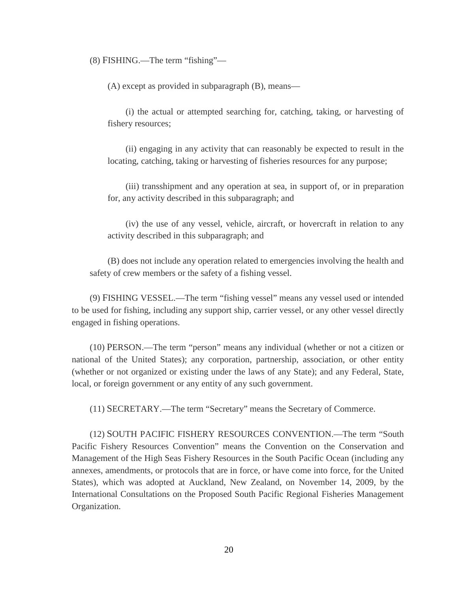(8) FISHING.—The term "fishing"—

(A) except as provided in subparagraph (B), means—

(i) the actual or attempted searching for, catching, taking, or harvesting of fishery resources;

(ii) engaging in any activity that can reasonably be expected to result in the locating, catching, taking or harvesting of fisheries resources for any purpose;

(iii) transshipment and any operation at sea, in support of, or in preparation for, any activity described in this subparagraph; and

(iv) the use of any vessel, vehicle, aircraft, or hovercraft in relation to any activity described in this subparagraph; and

(B) does not include any operation related to emergencies involving the health and safety of crew members or the safety of a fishing vessel.

(9) FISHING VESSEL.—The term "fishing vessel" means any vessel used or intended to be used for fishing, including any support ship, carrier vessel, or any other vessel directly engaged in fishing operations.

(10) PERSON.—The term "person" means any individual (whether or not a citizen or national of the United States); any corporation, partnership, association, or other entity (whether or not organized or existing under the laws of any State); and any Federal, State, local, or foreign government or any entity of any such government.

(11) SECRETARY.—The term "Secretary" means the Secretary of Commerce.

(12) SOUTH PACIFIC FISHERY RESOURCES CONVENTION.—The term "South Pacific Fishery Resources Convention" means the Convention on the Conservation and Management of the High Seas Fishery Resources in the South Pacific Ocean (including any annexes, amendments, or protocols that are in force, or have come into force, for the United States), which was adopted at Auckland, New Zealand, on November 14, 2009, by the International Consultations on the Proposed South Pacific Regional Fisheries Management Organization.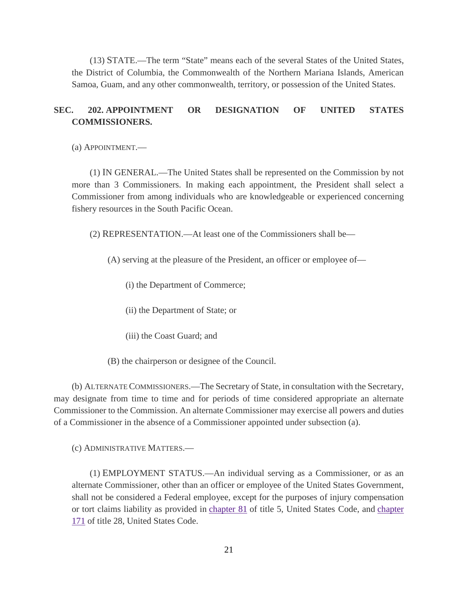(13) STATE.—The term "State" means each of the several States of the United States, the District of Columbia, the Commonwealth of the Northern Mariana Islands, American Samoa, Guam, and any other commonwealth, territory, or possession of the United States.

#### **SEC. 202. APPOINTMENT OR DESIGNATION OF UNITED STATES COMMISSIONERS.**

(a) APPOINTMENT.—

(1) IN GENERAL.—The United States shall be represented on the Commission by not more than 3 Commissioners. In making each appointment, the President shall select a Commissioner from among individuals who are knowledgeable or experienced concerning fishery resources in the South Pacific Ocean.

(2) REPRESENTATION.—At least one of the Commissioners shall be—

(A) serving at the pleasure of the President, an officer or employee of—

(i) the Department of Commerce;

(ii) the Department of State; or

(iii) the Coast Guard; and

(B) the chairperson or designee of the Council.

(b) ALTERNATE COMMISSIONERS.—The Secretary of State, in consultation with the Secretary, may designate from time to time and for periods of time considered appropriate an alternate Commissioner to the Commission. An alternate Commissioner may exercise all powers and duties of a Commissioner in the absence of a Commissioner appointed under subsection (a).

(c) ADMINISTRATIVE MATTERS.—

(1) EMPLOYMENT STATUS.—An individual serving as a Commissioner, or as an alternate Commissioner, other than an officer or employee of the United States Government, shall not be considered a Federal employee, except for the purposes of injury compensation or tort claims liability as provided in [chapter 81](http://uscode.house.gov/view.xhtml?req=granuleid:USC-prelim-title5-chapter81-front&num=0&edition=prelim) of title 5, United States Code, and [chapter](http://uscode.house.gov/view.xhtml?req=granuleid:USC-prelim-title28-chapter171-front&num=0&edition=prelim)  [171](http://uscode.house.gov/view.xhtml?req=granuleid:USC-prelim-title28-chapter171-front&num=0&edition=prelim) of title 28, United States Code.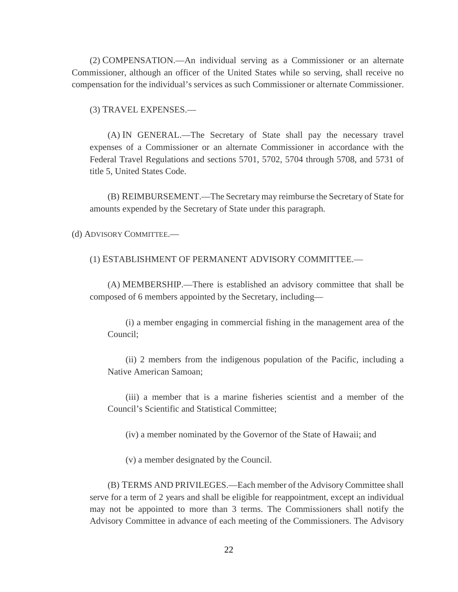(2) COMPENSATION.—An individual serving as a Commissioner or an alternate Commissioner, although an officer of the United States while so serving, shall receive no compensation for the individual's services as such Commissioner or alternate Commissioner.

(3) TRAVEL EXPENSES.—

(A) IN GENERAL.—The Secretary of State shall pay the necessary travel expenses of a Commissioner or an alternate Commissioner in accordance with the Federal Travel Regulations and sections 5701, 5702, 5704 through 5708, and 5731 of title 5, United States Code.

(B) REIMBURSEMENT.—The Secretary may reimburse the Secretary of State for amounts expended by the Secretary of State under this paragraph.

(d) ADVISORY COMMITTEE.—

(1) ESTABLISHMENT OF PERMANENT ADVISORY COMMITTEE.—

(A) MEMBERSHIP.—There is established an advisory committee that shall be composed of 6 members appointed by the Secretary, including—

(i) a member engaging in commercial fishing in the management area of the Council;

(ii) 2 members from the indigenous population of the Pacific, including a Native American Samoan;

(iii) a member that is a marine fisheries scientist and a member of the Council's Scientific and Statistical Committee;

(iv) a member nominated by the Governor of the State of Hawaii; and

(v) a member designated by the Council.

(B) TERMS AND PRIVILEGES.—Each member of the Advisory Committee shall serve for a term of 2 years and shall be eligible for reappointment, except an individual may not be appointed to more than 3 terms. The Commissioners shall notify the Advisory Committee in advance of each meeting of the Commissioners. The Advisory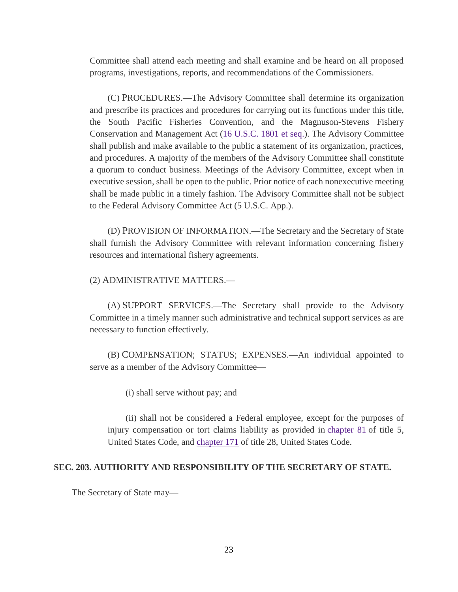Committee shall attend each meeting and shall examine and be heard on all proposed programs, investigations, reports, and recommendations of the Commissioners.

(C) PROCEDURES.—The Advisory Committee shall determine its organization and prescribe its practices and procedures for carrying out its functions under this title, the South Pacific Fisheries Convention, and the Magnuson-Stevens Fishery Conservation and Management Act [\(16 U.S.C. 1801 et seq.\)](http://uscode.house.gov/quicksearch/get.plx?title=16§ion=1801). The Advisory Committee shall publish and make available to the public a statement of its organization, practices, and procedures. A majority of the members of the Advisory Committee shall constitute a quorum to conduct business. Meetings of the Advisory Committee, except when in executive session, shall be open to the public. Prior notice of each nonexecutive meeting shall be made public in a timely fashion. The Advisory Committee shall not be subject to the Federal Advisory Committee Act (5 U.S.C. App.).

(D) PROVISION OF INFORMATION.—The Secretary and the Secretary of State shall furnish the Advisory Committee with relevant information concerning fishery resources and international fishery agreements.

#### (2) ADMINISTRATIVE MATTERS.—

(A) SUPPORT SERVICES.—The Secretary shall provide to the Advisory Committee in a timely manner such administrative and technical support services as are necessary to function effectively.

(B) COMPENSATION; STATUS; EXPENSES.—An individual appointed to serve as a member of the Advisory Committee—

(i) shall serve without pay; and

(ii) shall not be considered a Federal employee, except for the purposes of injury compensation or tort claims liability as provided in [chapter 81](http://uscode.house.gov/view.xhtml?req=granuleid:USC-prelim-title5-chapter81-front&num=0&edition=prelim) of title 5, United States Code, and [chapter 171](http://uscode.house.gov/view.xhtml?req=granuleid:USC-prelim-title28-chapter171-front&num=0&edition=prelim) of title 28, United States Code.

#### **SEC. 203. AUTHORITY AND RESPONSIBILITY OF THE SECRETARY OF STATE.**

The Secretary of State may—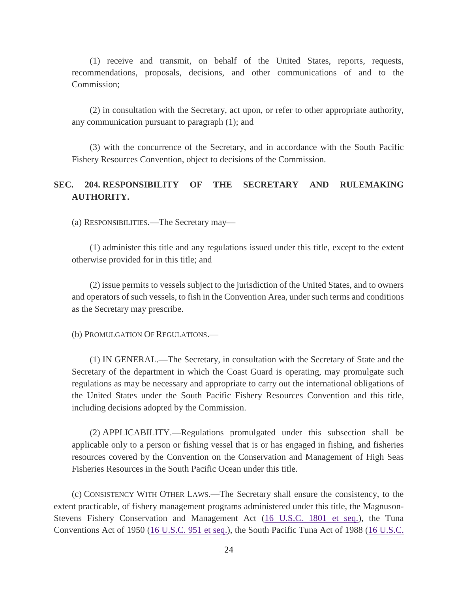(1) receive and transmit, on behalf of the United States, reports, requests, recommendations, proposals, decisions, and other communications of and to the Commission;

(2) in consultation with the Secretary, act upon, or refer to other appropriate authority, any communication pursuant to paragraph (1); and

(3) with the concurrence of the Secretary, and in accordance with the South Pacific Fishery Resources Convention, object to decisions of the Commission.

#### **SEC. 204. RESPONSIBILITY OF THE SECRETARY AND RULEMAKING AUTHORITY.**

(a) RESPONSIBILITIES.—The Secretary may—

(1) administer this title and any regulations issued under this title, except to the extent otherwise provided for in this title; and

(2) issue permits to vessels subject to the jurisdiction of the United States, and to owners and operators of such vessels, to fish in the Convention Area, under such terms and conditions as the Secretary may prescribe.

(b) PROMULGATION OF REGULATIONS.—

(1) IN GENERAL.—The Secretary, in consultation with the Secretary of State and the Secretary of the department in which the Coast Guard is operating, may promulgate such regulations as may be necessary and appropriate to carry out the international obligations of the United States under the South Pacific Fishery Resources Convention and this title, including decisions adopted by the Commission.

(2) APPLICABILITY.—Regulations promulgated under this subsection shall be applicable only to a person or fishing vessel that is or has engaged in fishing, and fisheries resources covered by the Convention on the Conservation and Management of High Seas Fisheries Resources in the South Pacific Ocean under this title.

(c) CONSISTENCY WITH OTHER LAWS.—The Secretary shall ensure the consistency, to the extent practicable, of fishery management programs administered under this title, the Magnuson-Stevens Fishery Conservation and Management Act [\(16 U.S.C. 1801 et seq.\)](http://uscode.house.gov/quicksearch/get.plx?title=16§ion=1801), the Tuna Conventions Act of 1950 [\(16 U.S.C. 951 et seq.\)](http://uscode.house.gov/quicksearch/get.plx?title=16§ion=951), the South Pacific Tuna Act of 1988 [\(16 U.S.C.](http://uscode.house.gov/quicksearch/get.plx?title=16§ion=973)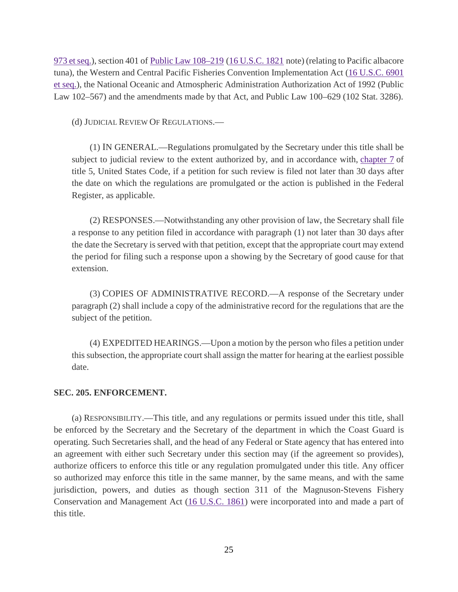[973 et seq.\)](http://uscode.house.gov/quicksearch/get.plx?title=16§ion=973), section 401 of [Public Law 108–219](https://www.gpo.gov/fdsys/pkg/PLAW-108publ219/pdf/PLAW-108publ219.pdf) [\(16 U.S.C. 1821](http://uscode.house.gov/quicksearch/get.plx?title=16§ion=1821) note) (relating to Pacific albacore tuna), the Western and Central Pacific Fisheries Convention Implementation Act [\(16 U.S.C. 6901](http://uscode.house.gov/quicksearch/get.plx?title=16§ion=6901)  [et seq.\)](http://uscode.house.gov/quicksearch/get.plx?title=16§ion=6901), the National Oceanic and Atmospheric Administration Authorization Act of 1992 (Public Law 102–567) and the amendments made by that Act, and Public Law 100–629 (102 Stat. 3286).

(d) JUDICIAL REVIEW OF REGULATIONS.—

(1) IN GENERAL.—Regulations promulgated by the Secretary under this title shall be subject to judicial review to the extent authorized by, and in accordance with, [chapter 7](http://uscode.house.gov/view.xhtml?req=granuleid:USC-prelim-title5-chapter7-front&num=0&edition=prelim) of title 5, United States Code, if a petition for such review is filed not later than 30 days after the date on which the regulations are promulgated or the action is published in the Federal Register, as applicable.

(2) RESPONSES.—Notwithstanding any other provision of law, the Secretary shall file a response to any petition filed in accordance with paragraph (1) not later than 30 days after the date the Secretary is served with that petition, except that the appropriate court may extend the period for filing such a response upon a showing by the Secretary of good cause for that extension.

(3) COPIES OF ADMINISTRATIVE RECORD.—A response of the Secretary under paragraph (2) shall include a copy of the administrative record for the regulations that are the subject of the petition.

(4) EXPEDITED HEARINGS.—Upon a motion by the person who files a petition under this subsection, the appropriate court shall assign the matter for hearing at the earliest possible date.

#### **SEC. 205. ENFORCEMENT.**

(a) RESPONSIBILITY.—This title, and any regulations or permits issued under this title, shall be enforced by the Secretary and the Secretary of the department in which the Coast Guard is operating. Such Secretaries shall, and the head of any Federal or State agency that has entered into an agreement with either such Secretary under this section may (if the agreement so provides), authorize officers to enforce this title or any regulation promulgated under this title. Any officer so authorized may enforce this title in the same manner, by the same means, and with the same jurisdiction, powers, and duties as though section 311 of the Magnuson-Stevens Fishery Conservation and Management Act [\(16 U.S.C. 1861\)](http://uscode.house.gov/quicksearch/get.plx?title=16§ion=1861) were incorporated into and made a part of this title.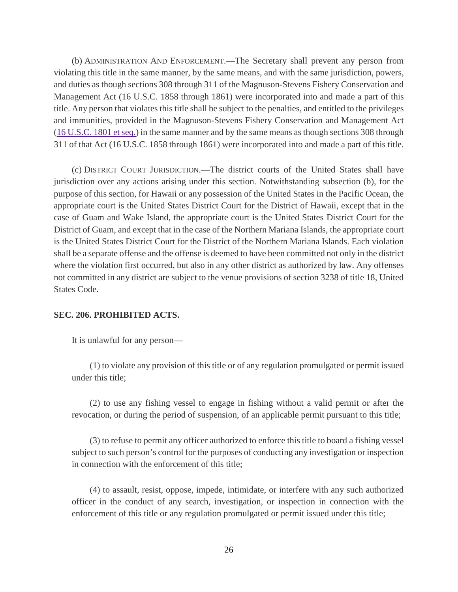(b) ADMINISTRATION AND ENFORCEMENT.—The Secretary shall prevent any person from violating this title in the same manner, by the same means, and with the same jurisdiction, powers, and duties as though sections 308 through 311 of the Magnuson-Stevens Fishery Conservation and Management Act (16 U.S.C. 1858 through 1861) were incorporated into and made a part of this title. Any person that violates this title shall be subject to the penalties, and entitled to the privileges and immunities, provided in the Magnuson-Stevens Fishery Conservation and Management Act [\(16 U.S.C. 1801 et](http://uscode.house.gov/quicksearch/get.plx?title=16§ion=1801) seq.) in the same manner and by the same means as though sections 308 through 311 of that Act (16 U.S.C. 1858 through 1861) were incorporated into and made a part of this title.

(c) DISTRICT COURT JURISDICTION.—The district courts of the United States shall have jurisdiction over any actions arising under this section. Notwithstanding subsection (b), for the purpose of this section, for Hawaii or any possession of the United States in the Pacific Ocean, the appropriate court is the United States District Court for the District of Hawaii, except that in the case of Guam and Wake Island, the appropriate court is the United States District Court for the District of Guam, and except that in the case of the Northern Mariana Islands, the appropriate court is the United States District Court for the District of the Northern Mariana Islands. Each violation shall be a separate offense and the offense is deemed to have been committed not only in the district where the violation first occurred, but also in any other district as authorized by law. Any offenses not committed in any district are subject to the venue provisions of section 3238 of title 18, United States Code.

#### **SEC. 206. PROHIBITED ACTS.**

It is unlawful for any person—

(1) to violate any provision of this title or of any regulation promulgated or permit issued under this title;

(2) to use any fishing vessel to engage in fishing without a valid permit or after the revocation, or during the period of suspension, of an applicable permit pursuant to this title;

(3) to refuse to permit any officer authorized to enforce this title to board a fishing vessel subject to such person's control for the purposes of conducting any investigation or inspection in connection with the enforcement of this title;

(4) to assault, resist, oppose, impede, intimidate, or interfere with any such authorized officer in the conduct of any search, investigation, or inspection in connection with the enforcement of this title or any regulation promulgated or permit issued under this title;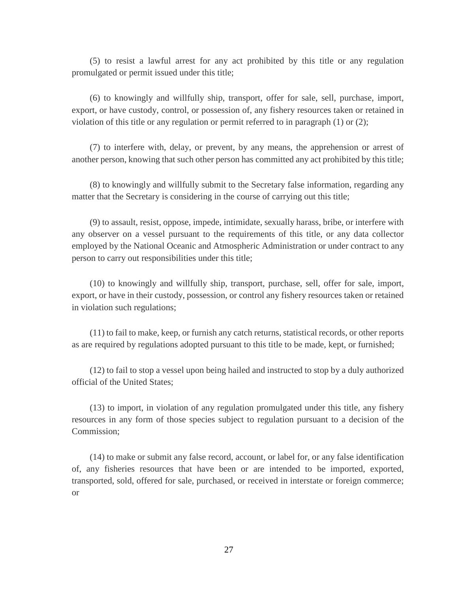(5) to resist a lawful arrest for any act prohibited by this title or any regulation promulgated or permit issued under this title;

(6) to knowingly and willfully ship, transport, offer for sale, sell, purchase, import, export, or have custody, control, or possession of, any fishery resources taken or retained in violation of this title or any regulation or permit referred to in paragraph (1) or (2);

(7) to interfere with, delay, or prevent, by any means, the apprehension or arrest of another person, knowing that such other person has committed any act prohibited by this title;

(8) to knowingly and willfully submit to the Secretary false information, regarding any matter that the Secretary is considering in the course of carrying out this title;

(9) to assault, resist, oppose, impede, intimidate, sexually harass, bribe, or interfere with any observer on a vessel pursuant to the requirements of this title, or any data collector employed by the National Oceanic and Atmospheric Administration or under contract to any person to carry out responsibilities under this title;

(10) to knowingly and willfully ship, transport, purchase, sell, offer for sale, import, export, or have in their custody, possession, or control any fishery resources taken or retained in violation such regulations;

(11) to fail to make, keep, or furnish any catch returns, statistical records, or other reports as are required by regulations adopted pursuant to this title to be made, kept, or furnished;

(12) to fail to stop a vessel upon being hailed and instructed to stop by a duly authorized official of the United States;

(13) to import, in violation of any regulation promulgated under this title, any fishery resources in any form of those species subject to regulation pursuant to a decision of the Commission;

(14) to make or submit any false record, account, or label for, or any false identification of, any fisheries resources that have been or are intended to be imported, exported, transported, sold, offered for sale, purchased, or received in interstate or foreign commerce; or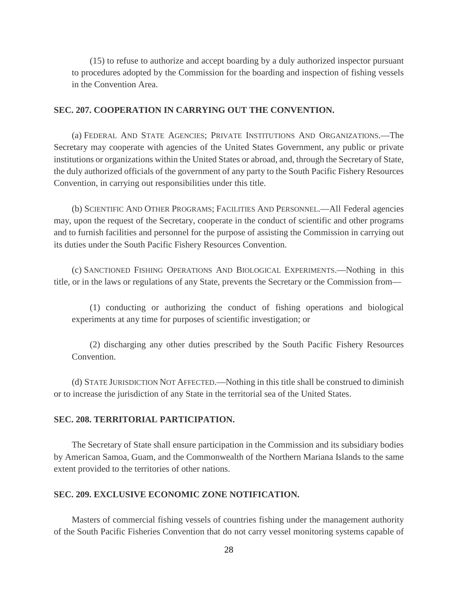(15) to refuse to authorize and accept boarding by a duly authorized inspector pursuant to procedures adopted by the Commission for the boarding and inspection of fishing vessels in the Convention Area.

#### **SEC. 207. COOPERATION IN CARRYING OUT THE CONVENTION.**

(a) FEDERAL AND STATE AGENCIES; PRIVATE INSTITUTIONS AND ORGANIZATIONS.—The Secretary may cooperate with agencies of the United States Government, any public or private institutions or organizations within the United States or abroad, and, through the Secretary of State, the duly authorized officials of the government of any party to the South Pacific Fishery Resources Convention, in carrying out responsibilities under this title.

(b) SCIENTIFIC AND OTHER PROGRAMS; FACILITIES AND PERSONNEL.—All Federal agencies may, upon the request of the Secretary, cooperate in the conduct of scientific and other programs and to furnish facilities and personnel for the purpose of assisting the Commission in carrying out its duties under the South Pacific Fishery Resources Convention.

(c) SANCTIONED FISHING OPERATIONS AND BIOLOGICAL EXPERIMENTS.—Nothing in this title, or in the laws or regulations of any State, prevents the Secretary or the Commission from—

(1) conducting or authorizing the conduct of fishing operations and biological experiments at any time for purposes of scientific investigation; or

(2) discharging any other duties prescribed by the South Pacific Fishery Resources Convention.

(d) STATE JURISDICTION NOT AFFECTED.—Nothing in this title shall be construed to diminish or to increase the jurisdiction of any State in the territorial sea of the United States.

#### **SEC. 208. TERRITORIAL PARTICIPATION.**

The Secretary of State shall ensure participation in the Commission and its subsidiary bodies by American Samoa, Guam, and the Commonwealth of the Northern Mariana Islands to the same extent provided to the territories of other nations.

#### **SEC. 209. EXCLUSIVE ECONOMIC ZONE NOTIFICATION.**

Masters of commercial fishing vessels of countries fishing under the management authority of the South Pacific Fisheries Convention that do not carry vessel monitoring systems capable of